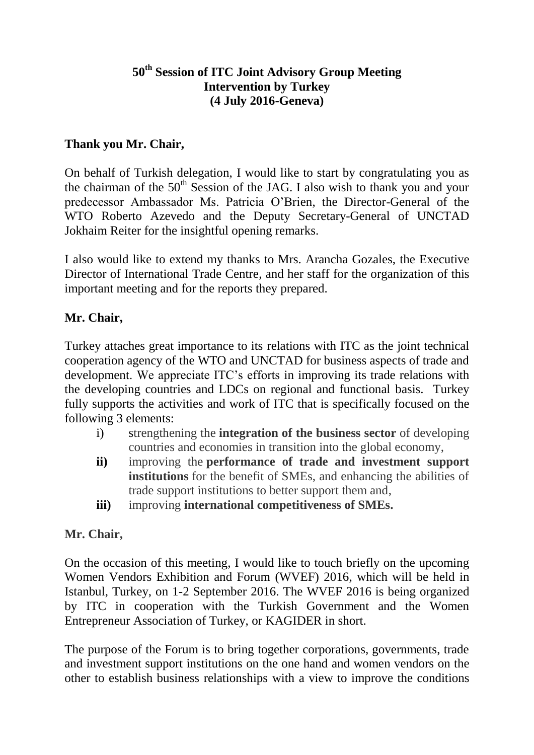## **50th Session of ITC Joint Advisory Group Meeting Intervention by Turkey (4 July 2016-Geneva)**

### **Thank you Mr. Chair,**

On behalf of Turkish delegation, I would like to start by congratulating you as the chairman of the  $50<sup>th</sup>$  Session of the JAG. I also wish to thank you and your predecessor Ambassador Ms. Patricia O'Brien, the Director-General of the WTO Roberto Azevedo and the Deputy Secretary-General of UNCTAD Jokhaim Reiter for the insightful opening remarks.

I also would like to extend my thanks to Mrs. Arancha Gozales, the Executive Director of International Trade Centre, and her staff for the organization of this important meeting and for the reports they prepared.

# **Mr. Chair,**

Turkey attaches great importance to its relations with ITC as the joint technical cooperation agency of the WTO and UNCTAD for business aspects of trade and development. We appreciate ITC's efforts in improving its trade relations with the developing countries and LDCs on regional and functional basis. Turkey fully supports the activities and work of ITC that is specifically focused on the following 3 elements:

- i) strengthening the **integration of the business sector** of developing countries and economies in transition into the global economy,
- **ii)** improving the **performance of trade and investment support institutions** for the benefit of SMEs, and enhancing the abilities of trade support institutions to better support them and,
- **iii)** improving **international competitiveness of SMEs.**

#### **Mr. Chair,**

On the occasion of this meeting, I would like to touch briefly on the upcoming Women Vendors Exhibition and Forum (WVEF) 2016, which will be held in Istanbul, Turkey, on 1-2 September 2016. The WVEF 2016 is being organized by ITC in cooperation with the Turkish Government and the Women Entrepreneur Association of Turkey, or KAGIDER in short.

The purpose of the Forum is to bring together corporations, governments, trade and investment support institutions on the one hand and women vendors on the other to establish business relationships with a view to improve the conditions